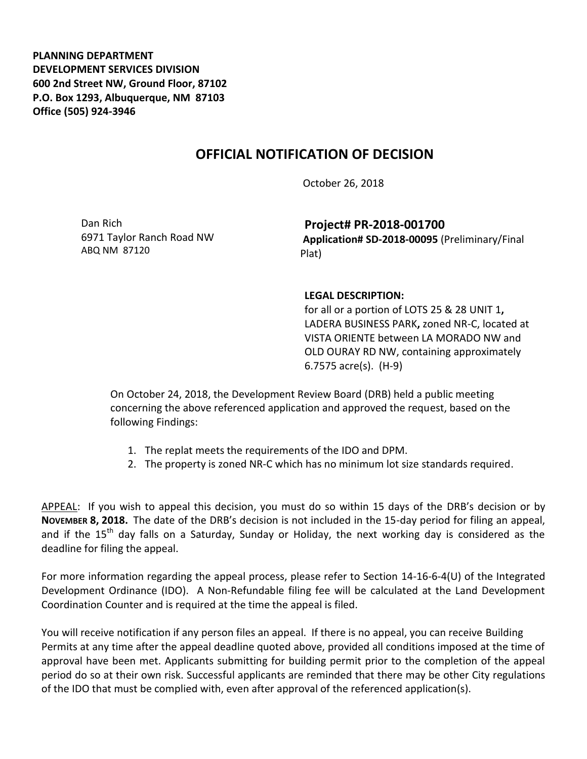**PLANNING DEPARTMENT DEVELOPMENT SERVICES DIVISION 600 2nd Street NW, Ground Floor, 87102 P.O. Box 1293, Albuquerque, NM 87103 Office (505) 924-3946** 

## **OFFICIAL NOTIFICATION OF DECISION**

October 26, 2018

Dan Rich 6971 Taylor Ranch Road NW ABQ NM 87120

**Project# PR-2018-001700 Application# SD-2018-00095** (Preliminary/Final Plat)

## **LEGAL DESCRIPTION:**

for all or a portion of LOTS 25 & 28 UNIT 1**,**  LADERA BUSINESS PARK**,** zoned NR-C, located at VISTA ORIENTE between LA MORADO NW and OLD OURAY RD NW, containing approximately 6.7575 acre(s). (H-9)

On October 24, 2018, the Development Review Board (DRB) held a public meeting concerning the above referenced application and approved the request, based on the following Findings:

- 1. The replat meets the requirements of the IDO and DPM.
- 2. The property is zoned NR-C which has no minimum lot size standards required.

APPEAL: If you wish to appeal this decision, you must do so within 15 days of the DRB's decision or by **NOVEMBER 8, 2018.** The date of the DRB's decision is not included in the 15-day period for filing an appeal, and if the  $15<sup>th</sup>$  day falls on a Saturday, Sunday or Holiday, the next working day is considered as the deadline for filing the appeal.

For more information regarding the appeal process, please refer to Section 14-16-6-4(U) of the Integrated Development Ordinance (IDO). A Non-Refundable filing fee will be calculated at the Land Development Coordination Counter and is required at the time the appeal is filed.

You will receive notification if any person files an appeal. If there is no appeal, you can receive Building Permits at any time after the appeal deadline quoted above, provided all conditions imposed at the time of approval have been met. Applicants submitting for building permit prior to the completion of the appeal period do so at their own risk. Successful applicants are reminded that there may be other City regulations of the IDO that must be complied with, even after approval of the referenced application(s).